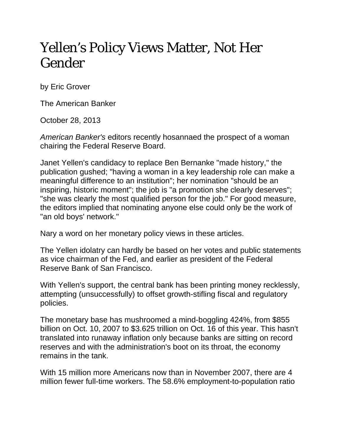## Yellen's Policy Views Matter, Not Her Gender

by Eric Grover

The American Banker

October 28, 2013

*American Banker's* editors recently hosannaed the prospect of a woman chairing the Federal Reserve Board.

Janet Yellen's candidacy to replace Ben Bernanke "made history," the publication gushed; "having a woman in a key leadership role can make a meaningful difference to an institution"; her nomination "should be an inspiring, historic moment"; the job is "a promotion she clearly deserves"; "she was clearly the most qualified person for the job." For good measure, the editors implied that nominating anyone else could only be the work of "an old boys' network."

Nary a word on her monetary policy views in these articles.

The Yellen idolatry can hardly be based on her votes and public statements as vice chairman of the Fed, and earlier as president of the Federal Reserve Bank of San Francisco.

With Yellen's support, the central bank has been printing money recklessly, attempting (unsuccessfully) to offset growth-stifling fiscal and regulatory policies.

The monetary base has mushroomed a mind-boggling 424%, from \$855 billion on Oct. 10, 2007 to \$3.625 trillion on Oct. 16 of this year. This hasn't translated into runaway inflation only because banks are sitting on record reserves and with the administration's boot on its throat, the economy remains in the tank.

With 15 million more Americans now than in November 2007, there are 4 million fewer full-time workers. The 58.6% employment-to-population ratio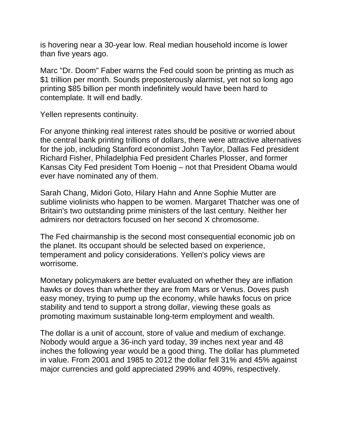is hovering near a 30-year low. Real median household income is lower than five years ago.

Marc "Dr. Doom" Faber warns the Fed could soon be printing as much as \$1 trillion per month. Sounds preposterously alarmist, yet not so long ago printing \$85 billion per month indefinitely would have been hard to contemplate. It will end badly.

Yellen represents continuity.

For anyone thinking real interest rates should be positive or worried about the central bank printing trillions of dollars, there were attractive alternatives for the job, including Stanford economist John Taylor, Dallas Fed president Richard Fisher, Philadelphia Fed president Charles Plosser, and former Kansas City Fed president Tom Hoenig – not that President Obama would ever have nominated any of them.

Sarah Chang, Midori Goto, Hilary Hahn and Anne Sophie Mutter are sublime violinists who happen to be women. Margaret Thatcher was one of Britain's two outstanding prime ministers of the last century. Neither her admirers nor detractors focused on her second X chromosome.

The Fed chairmanship is the second most consequential economic job on the planet. Its occupant should be selected based on experience, temperament and policy considerations. Yellen's policy views are worrisome.

Monetary policymakers are better evaluated on whether they are inflation hawks or doves than whether they are from Mars or Venus. Doves push easy money, trying to pump up the economy, while hawks focus on price stability and tend to support a strong dollar, viewing these goals as promoting maximum sustainable long-term employment and wealth.

The dollar is a unit of account, store of value and medium of exchange. Nobody would argue a 36-inch yard today, 39 inches next year and 48 inches the following year would be a good thing. The dollar has plummeted in value. From 2001 and 1985 to 2012 the dollar fell 31% and 45% against major currencies and gold appreciated 299% and 409%, respectively.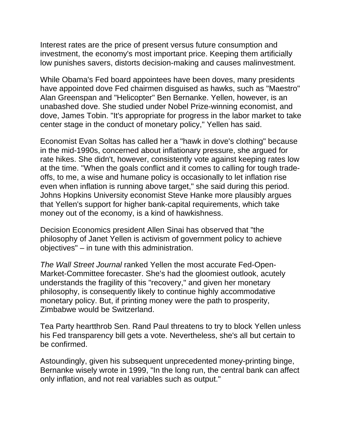Interest rates are the price of present versus future consumption and investment, the economy's most important price. Keeping them artificially low punishes savers, distorts decision-making and causes malinvestment.

While Obama's Fed board appointees have been doves, many presidents have appointed dove Fed chairmen disguised as hawks, such as "Maestro" Alan Greenspan and "Helicopter" Ben Bernanke. Yellen, however, is an unabashed dove. She studied under Nobel Prize-winning economist, and dove, James Tobin. "It's appropriate for progress in the labor market to take center stage in the conduct of monetary policy," Yellen has said.

Economist Evan Soltas has called her a "hawk in dove's clothing" because in the mid-1990s, concerned about inflationary pressure, she argued for rate hikes. She didn't, however, consistently vote against keeping rates low at the time. "When the goals conflict and it comes to calling for tough tradeoffs, to me, a wise and humane policy is occasionally to let inflation rise even when inflation is running above target," she said during this period. Johns Hopkins University economist Steve Hanke more plausibly argues that Yellen's support for higher bank-capital requirements, which take money out of the economy, is a kind of hawkishness.

Decision Economics president Allen Sinai has observed that "the philosophy of Janet Yellen is activism of government policy to achieve objectives" – in tune with this administration.

*The Wall Street Journal* ranked Yellen the most accurate Fed-Open-Market-Committee forecaster. She's had the gloomiest outlook, acutely understands the fragility of this "recovery," and given her monetary philosophy, is consequently likely to continue highly accommodative monetary policy. But, if printing money were the path to prosperity, Zimbabwe would be Switzerland.

Tea Party heartthrob Sen. Rand Paul threatens to try to block Yellen unless his Fed transparency bill gets a vote. Nevertheless, she's all but certain to be confirmed.

Astoundingly, given his subsequent unprecedented money-printing binge, Bernanke wisely wrote in 1999, "In the long run, the central bank can affect only inflation, and not real variables such as output."